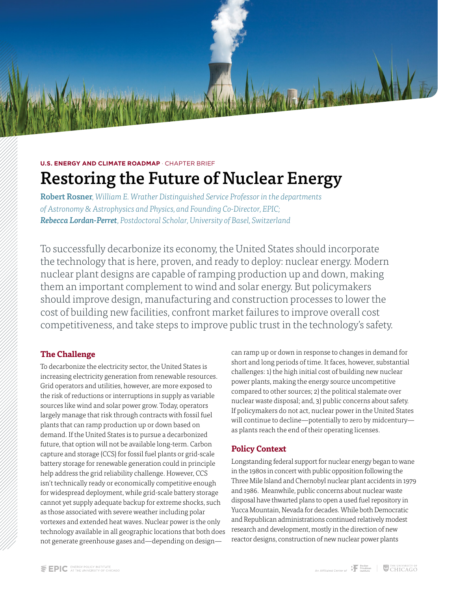

# Restoring the Future of Nuclear Energy

Robert Rosner*, William E. Wrather Distinguished Service Professor in the departments of Astronomy & Astrophysics and Physics, and Founding Co-Director, EPIC; Rebecca Lordan-Perret*, *Postdoctoral Scholar, University of Basel, Switzerland* 

To successfully decarbonize its economy, the United States should incorporate the technology that is here, proven, and ready to deploy: nuclear energy. Modern nuclear plant designs are capable of ramping production up and down, making them an important complement to wind and solar energy. But policymakers should improve design, manufacturing and construction processes to lower the cost of building new facilities, confront market failures to improve overall cost competitiveness, and take steps to improve public trust in the technology's safety.

#### **The Challenge**

To decarbonize the electricity sector, the United States is increasing electricity generation from renewable resources. Grid operators and utilities, however, are more exposed to the risk of reductions or interruptions in supply as variable sources like wind and solar power grow. Today, operators largely manage that risk through contracts with fossil fuel plants that can ramp production up or down based on demand. If the United States is to pursue a decarbonized future, that option will not be available long-term. Carbon capture and storage (CCS) for fossil fuel plants or grid-scale battery storage for renewable generation could in principle help address the grid reliability challenge. However, CCS isn't technically ready or economically competitive enough for widespread deployment, while grid-scale battery storage cannot yet supply adequate backup for extreme shocks, such as those associated with severe weather including polar vortexes and extended heat waves. Nuclear power is the only technology available in all geographic locations that both does not generate greenhouse gases and—depending on designcan ramp up or down in response to changes in demand for short and long periods of time. It faces, however, substantial challenges: 1) the high initial cost of building new nuclear power plants, making the energy source uncompetitive compared to other sources; 2) the political stalemate over nuclear waste disposal; and, 3) public concerns about safety. If policymakers do not act, nuclear power in the United States will continue to decline—potentially to zero by midcentury as plants reach the end of their operating licenses.

### **Policy Context**

Longstanding federal support for nuclear energy began to wane in the 1980s in concert with public opposition following the Three Mile Island and Chernobyl nuclear plant accidents in 1979 and 1986. Meanwhile, public concerns about nuclear waste disposal have thwarted plans to open a used fuel repository in Yucca Mountain, Nevada for decades. While both Democratic and Republican administrations continued relatively modest research and development, mostly in the direction of new reactor designs, construction of new nuclear power plants